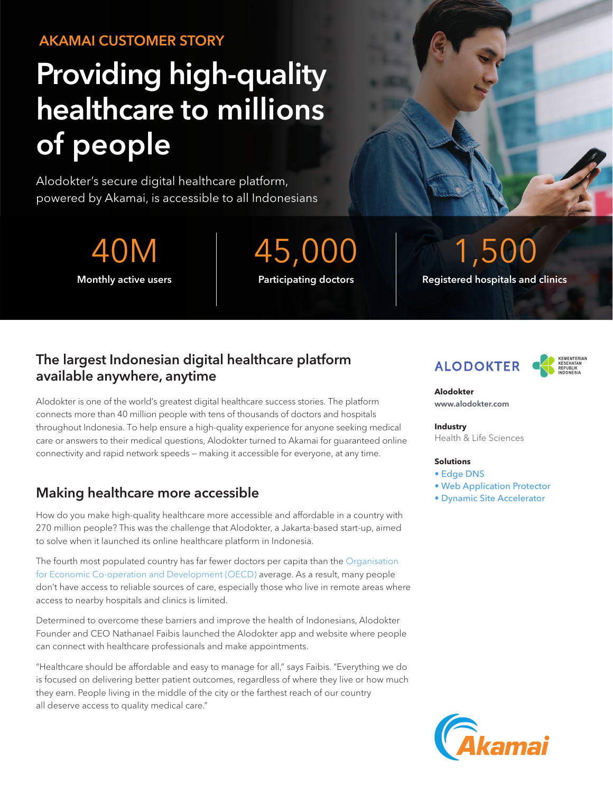# AKAMAI CUSTOMER STORY

# Providing high-quality healthcare to millions of people

Alodokter's secure digital healthcare platform, powered by Akamai, is accessible to all Indonesians

40M 45,000 1,500

Monthly active users **Registers** Participating doctors **Registered hospitals and clinics** 

### The largest Indonesian digital healthcare platform available anywhere, anytime

Alodokter is one of the world's greatest digital healthcare success stories. The platform connects more than 40 million people with tens of thousands of doctors and hospitals throughout Indonesia. To help ensure a high-quality experience for anyone seeking medical care or answers to their medical questions, Alodokter turned to Akamai for guaranteed online connectivity and rapid network speeds — making it accessible for everyone, at any time.

# Making healthcare more accessible

How do you make high-quality healthcare more accessible and affordable in a country with 270 million people? This was the challenge that Alodokter, a Jakarta-based start-up, aimed to solve when it launched its online healthcare platform in Indonesia.

The fourth most populated country has far fewer doctors per capita than the [Organisation](https://www.oecd.org/els/health-systems/Briefing-Note-INDONESIA-2014.pdf)  [for Economic Co-operation and Development \(OECD\)](https://www.oecd.org/els/health-systems/Briefing-Note-INDONESIA-2014.pdf) average. As a result, many people don't have access to reliable sources of care, especially those who live in remote areas where access to nearby hospitals and clinics is limited.

Determined to overcome these barriers and improve the health of Indonesians, Alodokter Founder and CEO Nathanael Faibis launched the Alodokter app and website where people can connect with healthcare professionals and make appointments.

"Healthcare should be affordable and easy to manage for all," says Faibis. "Everything we do is focused on delivering better patient outcomes, regardless of where they live or how much they earn. People living in the middle of the city or the farthest reach of our country all deserve access to quality medical care."





**Alodokter** [www.alodokter.com](https://www.alodokter.com) 

#### **Industry**

Health & Life Sciences

#### **Solutions**

- [Edge DNS](https://www.akamai.com/us/en/products/security/edge-dns.jsp?utm_source=google&utm_medium=cpc&utm_campaign=F-MC-52611&utm_term=edge%20dns&utm_content=US&ef_id=CjwKCAjw7J6EBhBDEiwA5UUM2rP78Nzn0OUoD3zR18EdTa1K26tpMiwdMtFPK2BgNBBb1Jf9armHYxoCgGYQAvD_BwE:G:s&utm_source=google&utm_medium=cpc&gclid=CjwKCAjw7J6EBhBDEiwA5UUM2rP78Nzn0OUoD3zR18EdTa1K26tpMiwdMtFPK2BgNBBb1Jf9armHYxoCgGYQAvD_BwE)
- [Web Application Protector](https://www.akamai.com/us/en/products/security/web-application-protector-enterprise-waf-firewall-ddos-protection.jsp)
- [Dynamic Site Accelerator](https://www.akamai.com/us/en/products/performance/dynamic-site-accelerator.jsp)

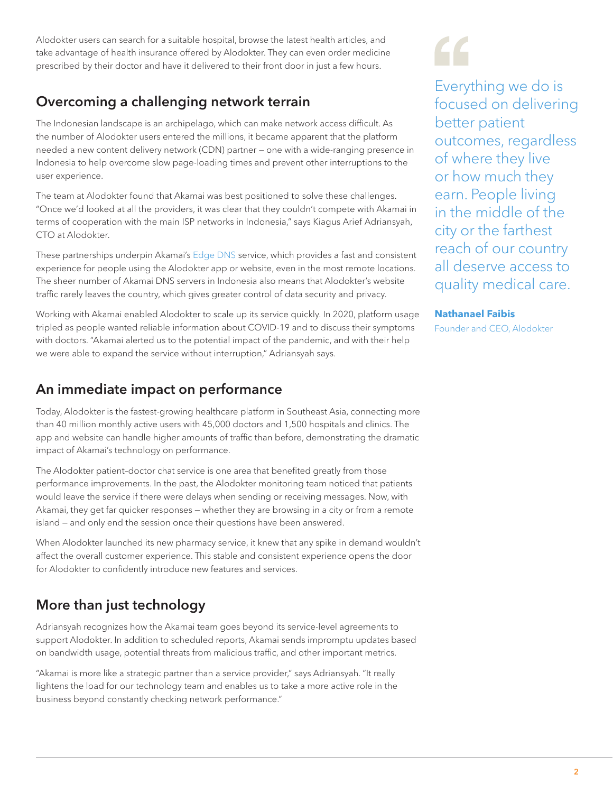Alodokter users can search for a suitable hospital, browse the latest health articles, and take advantage of health insurance offered by Alodokter. They can even order medicine prescribed by their doctor and have it delivered to their front door in just a few hours.

# Overcoming a challenging network terrain

The Indonesian landscape is an archipelago, which can make network access difficult. As the number of Alodokter users entered the millions, it became apparent that the platform needed a new content delivery network (CDN) partner — one with a wide-ranging presence in Indonesia to help overcome slow page-loading times and prevent other interruptions to the user experience.

The team at Alodokter found that Akamai was best positioned to solve these challenges. "Once we'd looked at all the providers, it was clear that they couldn't compete with Akamai in terms of cooperation with the main ISP networks in Indonesia," says Kiagus Arief Adriansyah, CTO at Alodokter.

These partnerships underpin Akamai's [Edge DNS](https://www.akamai.com/us/en/products/security/edge-dns.jsp?utm_source=google&utm_medium=cpc&utm_campaign=F-MC-52611&utm_term=edge%20dns&utm_content=US&ef_id=CjwKCAjw7J6EBhBDEiwA5UUM2rP78Nzn0OUoD3zR18EdTa1K26tpMiwdMtFPK2BgNBBb1Jf9armHYxoCgGYQAvD_BwE:G:s&utm_source=google&utm_medium=cpc&gclid=CjwKCAjw7J6EBhBDEiwA5UUM2rP78Nzn0OUoD3zR18EdTa1K26tpMiwdMtFPK2BgNBBb1Jf9armHYxoCgGYQAvD_BwE) service, which provides a fast and consistent experience for people using the Alodokter app or website, even in the most remote locations. The sheer number of Akamai DNS servers in Indonesia also means that Alodokter's website traffic rarely leaves the country, which gives greater control of data security and privacy.

Working with Akamai enabled Alodokter to scale up its service quickly. In 2020, platform usage tripled as people wanted reliable information about COVID-19 and to discuss their symptoms with doctors. "Akamai alerted us to the potential impact of the pandemic, and with their help we were able to expand the service without interruption," Adriansyah says.

### An immediate impact on performance

Today, Alodokter is the fastest-growing healthcare platform in Southeast Asia, connecting more than 40 million monthly active users with 45,000 doctors and 1,500 hospitals and clinics. The app and website can handle higher amounts of traffic than before, demonstrating the dramatic impact of Akamai's technology on performance.

The Alodokter patient–doctor chat service is one area that benefited greatly from those performance improvements. In the past, the Alodokter monitoring team noticed that patients would leave the service if there were delays when sending or receiving messages. Now, with Akamai, they get far quicker responses — whether they are browsing in a city or from a remote island — and only end the session once their questions have been answered.

When Alodokter launched its new pharmacy service, it knew that any spike in demand wouldn't affect the overall customer experience. This stable and consistent experience opens the door for Alodokter to confidently introduce new features and services.

### More than just technology

Adriansyah recognizes how the Akamai team goes beyond its service-level agreements to support Alodokter. In addition to scheduled reports, Akamai sends impromptu updates based on bandwidth usage, potential threats from malicious traffic, and other important metrics.

"Akamai is more like a strategic partner than a service provider," says Adriansyah. "It really lightens the load for our technology team and enables us to take a more active role in the business beyond constantly checking network performance."

Everything we do is focused on delivering better patient outcomes, regardless of where they live or how much they earn. People living in the middle of the city or the farthest reach of our country all deserve access to quality medical care.

#### **Nathanael Faibis**

Founder and CEO, Alodokter